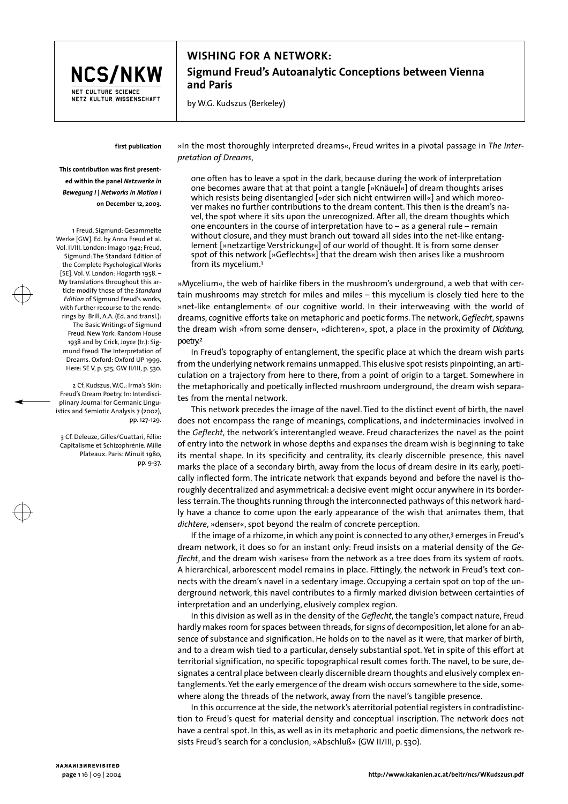

## **WISHING FOR A NETWORK: Sigmund Freud's Autoanalytic Conceptions between Vienna and Paris**

by W.G. Kudszus (Berkeley)

## **first publication**

**This contribution was first presented within the panel** *Netzwerke in Bewegung I | Networks in Motion I* **on December 12, 2003.**

1 Freud, Sigmund: Gesammelte Werke [GW]. Ed. by Anna Freud et al. Vol. II/III. London: Imago 1942; Freud, Sigmund: The Standard Edition of the Complete Psychological Works [SE]. Vol. V. London: Hogarth 1958. – My translations throughout this article modify those of the *Standard Edition* of Sigmund Freud's works, with further recourse to the renderings by Brill, A.A. (Ed. and transl.): The Basic Writings of Sigmund Freud. New York: Random House 1938 and by Crick, Joyce (tr.): Sigmund Freud: The Interpretation of Dreams. Oxford: Oxford UP 1999. Here: SE V, p. 525; GW II/III, p. 530.

2 Cf. Kudszus, W.G.: Irma's Skin: Freud's Dream Poetry. In: Interdisciplinary Journal for Germanic Linguistics and Semiotic Analysis 7 (2002), pp. 127-129.

3 Cf. Deleuze, Gilles/Guattari, Félix: Capitalisme et Schizophrénie. Mille Plateaux. Paris: Minuit 1980. pp. 9-37.

»In the most thoroughly interpreted dreams«, Freud writes in a pivotal passage in *The Interpretation of Dreams*,

one often has to leave a spot in the dark, because during the work of interpretation one becomes aware that at that point a tangle [»Knäuel«] of dream thoughts arises which resists being disentangled [»der sich nicht entwirren will«] and which moreover makes no further contributions to the dream content. This then is the dream's navel, the spot where it sits upon the unrecognized. After all, the dream thoughts which one encounters in the course of interpretation have to – as a general rule – remain without closure, and they must branch out toward all sides into the net-like entanglement [»netzartige Verstrickung«] of our world of thought. It is from some denser spot of this network [»Geflechts«] that the dream wish then arises like a mushroom from its mycelium.1

»Mycelium«, the web of hairlike fibers in the mushroom's underground, a web that with certain mushrooms may stretch for miles and miles – this mycelium is closely tied here to the »net-like entanglement« of our cognitive world. In their interweaving with the world of dreams, cognitive efforts take on metaphoric and poetic forms. The network, *Geflecht*, spawns the dream wish »from some denser«, »dichteren«, spot, a place in the proximity of *Dichtung*, poetry.2

In Freud's topography of entanglement, the specific place at which the dream wish parts from the underlying network remains unmapped. This elusive spot resists pinpointing, an articulation on a trajectory from here to there, from a point of origin to a target. Somewhere in the metaphorically and poetically inflected mushroom underground, the dream wish separates from the mental network.

This network precedes the image of the navel. Tied to the distinct event of birth, the navel does not encompass the range of meanings, complications, and indeterminacies involved in the *Geflecht*, the network's interentangled weave. Freud characterizes the navel as the point of entry into the network in whose depths and expanses the dream wish is beginning to take its mental shape. In its specificity and centrality, its clearly discernible presence, this navel marks the place of a secondary birth, away from the locus of dream desire in its early, poetically inflected form. The intricate network that expands beyond and before the navel is thoroughly decentralized and asymmetrical: a decisive event might occur anywhere in its borderless terrain. The thoughts running through the interconnected pathways of this network hardly have a chance to come upon the early appearance of the wish that animates them, that *dichtere*, »denser«, spot beyond the realm of concrete perception.

If the image of a rhizome, in which any point is connected to any other,<sup>3</sup> emerges in Freud's dream network, it does so for an instant only: Freud insists on a material density of the *Geflecht*, and the dream wish »arises« from the network as a tree does from its system of roots. A hierarchical, arborescent model remains in place. Fittingly, the network in Freud's text connects with the dream's navel in a sedentary image. Occupying a certain spot on top of the underground network, this navel contributes to a firmly marked division between certainties of interpretation and an underlying, elusively complex region.

In this division as well as in the density of the *Geflecht*, the tangle's compact nature, Freud hardly makes room for spaces between threads, for signs of decomposition, let alone for an absence of substance and signification. He holds on to the navel as it were, that marker of birth, and to a dream wish tied to a particular, densely substantial spot. Yet in spite of this effort at territorial signification, no specific topographical result comes forth. The navel, to be sure, designates a central place between clearly discernible dream thoughts and elusively complex entanglements. Yet the early emergence of the dream wish occurs somewhere to the side, somewhere along the threads of the network, away from the navel's tangible presence.

In this occurrence at the side, the network's aterritorial potential registers in contradistinction to Freud's quest for material density and conceptual inscription. The network does not have a central spot. In this, as well as in its metaphoric and poetic dimensions, the network resists Freud's search for a conclusion, »Abschluß« (GW II/III, p. 530).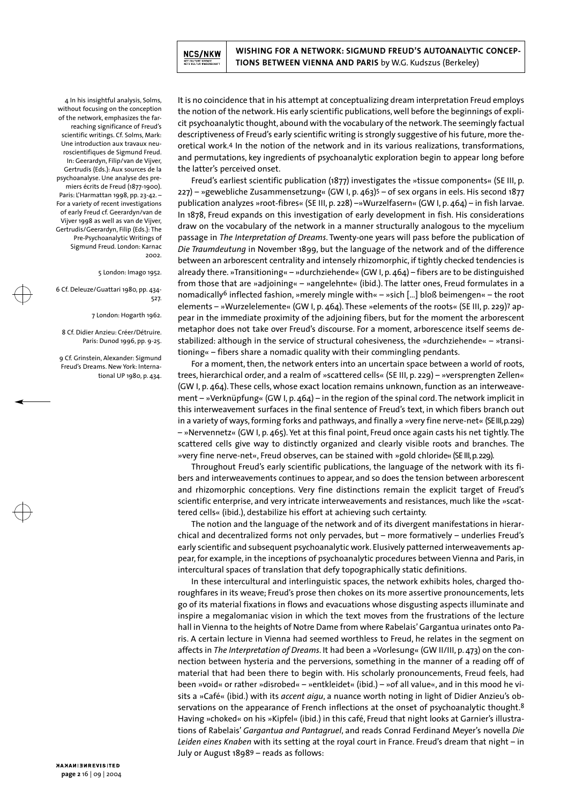

**WISHING FOR A NETWORK: SIGMUND FREUD'S AUTOANALYTIC CONCEP-TIONS BETWEEN VIENNA AND PARIS** by W.G. Kudszus (Berkeley)

4 In his insightful analysis, Solms, without focusing on the conception of the network, emphasizes the farreaching significance of Freud's scientific writings. Cf. Solms, Mark: Une introduction aux travaux neuroscientifiques de Sigmund Freud. In: Geerardyn, Filip/van de Vijver, Gertrudis (Eds.): Aux sources de la psychoanalyse. Une analyse des premiers écrits de Freud (1877-1900). Paris: L'Harmattan 1998, pp. 23-42. – For a variety of recent investigations of early Freud cf. Geerardyn/van de Vijver 1998 as well as van de Vijver, Gertrudis/Geerardyn, Filip (Eds.): The Pre-Psychoanalytic Writings of Sigmund Freud. London: Karnac 2002.

## 5 London: Imago 1952.

6 Cf. Deleuze/Guattari 1980, pp. 434- 527.

7 London: Hogarth 1962.

8 Cf. Didier Anzieu: Créer/Détruire. Paris: Dunod 1996, pp. 9-25.

9 Cf. Grinstein, Alexander: Sigmund Freud's Dreams. New York: International UP 1980, p. 434.

It is no coincidence that in his attempt at conceptualizing dream interpretation Freud employs the notion of the network. His early scientific publications, well before the beginnings of explicit psychoanalytic thought, abound with the vocabulary of the network. The seemingly factual descriptiveness of Freud's early scientific writing is strongly suggestive of his future, more theoretical work.4 In the notion of the network and in its various realizations, transformations, and permutations, key ingredients of psychoanalytic exploration begin to appear long before the latter's perceived onset.

Freud's earliest scientific publication (1877) investigates the »tissue components« (SE III, p. 227) – »gewebliche Zusammensetzung« (GW I, p. 463)5 – of sex organs in eels. His second 1877 publication analyzes »root-fibres« (SE III, p. 228) –»Wurzelfasern« (GW I, p. 464) – in fish larvae. In 1878, Freud expands on this investigation of early development in fish. His considerations draw on the vocabulary of the network in a manner structurally analogous to the mycelium passage in *The Interpretation of Dreams*. Twenty-one years will pass before the publication of *Die Traumdeutung* in November 1899, but the language of the network and of the difference between an arborescent centrality and intensely rhizomorphic, if tightly checked tendencies is already there. »Transitioning« – »durchziehende« (GW I, p. 464) – fibers are to be distinguished from those that are »adjoining« – »angelehnte« (ibid.). The latter ones, Freud formulates in a nomadically<sup>6</sup> inflected fashion, »merely mingle with«  $-$  »sich [...] bloß beimengen«  $-$  the root elements – »Wurzelelemente« (GW I, p. 464). These »elements of the roots« (SE III, p. 229)7 appear in the immediate proximity of the adjoining fibers, but for the moment the arborescent metaphor does not take over Freud's discourse. For a moment, arborescence itself seems destabilized: although in the service of structural cohesiveness, the »durchziehende« – »transitioning« – fibers share a nomadic quality with their commingling pendants.

For a moment, then, the network enters into an uncertain space between a world of roots, trees, hierarchical order, and a realm of »scattered cells« (SE III, p. 229) – »versprengten Zellen« (GW I, p. 464). These cells, whose exact location remains unknown, function as an interweavement – »Verknüpfung« (GW I, p. 464) – in the region of the spinal cord. The network implicit in this interweavement surfaces in the final sentence of Freud's text, in which fibers branch out in a variety of ways, forming forks and pathways, and finally a »very fine nerve-net« (SE III,p.229) – »Nervennetz« (GW I, p. 465). Yet at this final point, Freud once again casts his net tightly. The scattered cells give way to distinctly organized and clearly visible roots and branches. The »very fine nerve-net«, Freud observes, can be stained with »gold chloride« (SE III,p.229).

Throughout Freud's early scientific publications, the language of the network with its fibers and interweavements continues to appear, and so does the tension between arborescent and rhizomorphic conceptions. Very fine distinctions remain the explicit target of Freud's scientific enterprise, and very intricate interweavements and resistances, much like the »scattered cells« (ibid.), destabilize his effort at achieving such certainty.

The notion and the language of the network and of its divergent manifestations in hierarchical and decentralized forms not only pervades, but – more formatively – underlies Freud's early scientific and subsequent psychoanalytic work. Elusively patterned interweavements appear, for example, in the inceptions of psychoanalytic procedures between Vienna and Paris, in intercultural spaces of translation that defy topographically static definitions.

In these intercultural and interlinguistic spaces, the network exhibits holes, charged thoroughfares in its weave; Freud's prose then chokes on its more assertive pronouncements, lets go of its material fixations in flows and evacuations whose disgusting aspects illuminate and inspire a megalomaniac vision in which the text moves from the frustrations of the lecture hall in Vienna to the heights of Notre Dame from where Rabelais' Gargantua urinates onto Paris. A certain lecture in Vienna had seemed worthless to Freud, he relates in the segment on affects in *The Interpretation of Dreams*. It had been a »Vorlesung« (GW II/III, p. 473) on the connection between hysteria and the perversions, something in the manner of a reading off of material that had been there to begin with. His scholarly pronouncements, Freud feels, had been »void« or rather »disrobed« – »entkleidet« (ibid.) – »of all value«, and in this mood he visits a »Café« (ibid.) with its *accent aigu*, a nuance worth noting in light of Didier Anzieu's observations on the appearance of French inflections at the onset of psychoanalytic thought.<sup>8</sup> Having »choked« on his »Kipfel« (ibid.) in this café, Freud that night looks at Garnier's illustrations of Rabelais' *Gargantua and Pantagruel*, and reads Conrad Ferdinand Meyer's novella *Die Leiden eines Knaben* with its setting at the royal court in France. Freud's dream that night – in July or August 18989 – reads as follows: